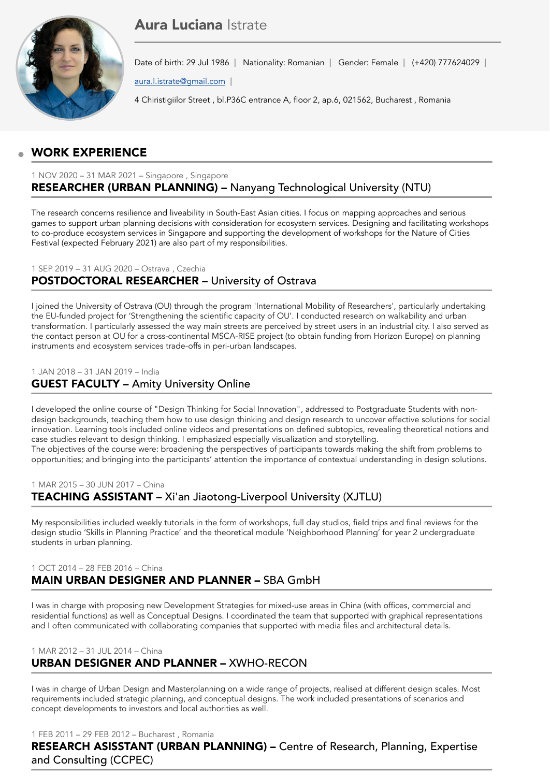# Aura Luciana Istrate



Date of birth: 29 Jul 1986 | Nationality: Romanian | Gender: Female | (+420) 777624029 |

[aura.l.istrate@gmail.com](mailto:aura.l.istrate@gmail.com)

4 Chiristigiilor Street , bl.P36C entrance A, floor 2, ap.6, 021562, Bucharest , Romania

## WORK EXPERIENCE

### 1 NOV 2020 – 31 MAR 2021 – Singapore , Singapore RESEARCHER (URBAN PLANNING) – Nanyang Technological University (NTU)

The research concerns resilience and liveability in South-East Asian cities. I focus on mapping approaches and serious games to support urban planning decisions with consideration for ecosystem services. Designing and facilitating workshops to co-produce ecosystem services in Singapore and supporting the development of workshops for the Nature of Cities Festival (expected February 2021) are also part of my responsibilities.

### 1 SEP 2019 – 31 AUG 2020 – Ostrava , Czechia POSTDOCTORAL RESEARCHER – University of Ostrava

I joined the University of Ostrava (OU) through the program 'International Mobility of Researchers', particularly undertaking the EU-funded project for 'Strengthening the scientific capacity of OU'. I conducted research on walkability and urban transformation. I particularly assessed the way main streets are perceived by street users in an industrial city. I also served as the contact person at OU for a cross-continental MSCA-RISE project (to obtain funding from Horizon Europe) on planning instruments and ecosystem services trade-offs in peri-urban landscapes.

### 1 JAN 2018 – 31 JAN 2019 – India

## GUEST FACULTY – Amity University Online

I developed the online course of "Design Thinking for Social Innovation", addressed to Postgraduate Students with nondesign backgrounds, teaching them how to use design thinking and design research to uncover effective solutions for social innovation. Learning tools included online videos and presentations on defined subtopics, revealing theoretical notions and case studies relevant to design thinking. I emphasized especially visualization and storytelling. The objectives of the course were: broadening the perspectives of participants towards making the shift from problems to

opportunities; and bringing into the participants' attention the importance of contextual understanding in design solutions.

### 1 MAR 2015 – 30 JUN 2017 – China TEACHING ASSISTANT – Xi'an Jiaotong-Liverpool University (XJTLU)

My responsibilities included weekly tutorials in the form of workshops, full day studios, field trips and final reviews for the design studio 'Skills in Planning Practice' and the theoretical module 'Neighborhood Planning' for year 2 undergraduate students in urban planning.

### 1 OCT 2014 – 28 FEB 2016 – China MAIN URBAN DESIGNER AND PLANNER – SBA GmbH

I was in charge with proposing new Development Strategies for mixed-use areas in China (with offices, commercial and residential functions) as well as Conceptual Designs. I coordinated the team that supported with graphical representations and I often communicated with collaborating companies that supported with media files and architectural details.

### 1 MAR 2012 – 31 JUL 2014 – China URBAN DESIGNER AND PLANNER – XWHO-RECON

I was in charge of Urban Design and Masterplanning on a wide range of projects, realised at different design scales. Most requirements included strategic planning, and conceptual designs. The work included presentations of scenarios and concept developments to investors and local authorities as well.

1 FEB 2011 – 29 FEB 2012 – Bucharest , Romania

RESEARCH ASISSTANT (URBAN PLANNING) – Centre of Research, Planning, Expertise and Consulting (CCPEC)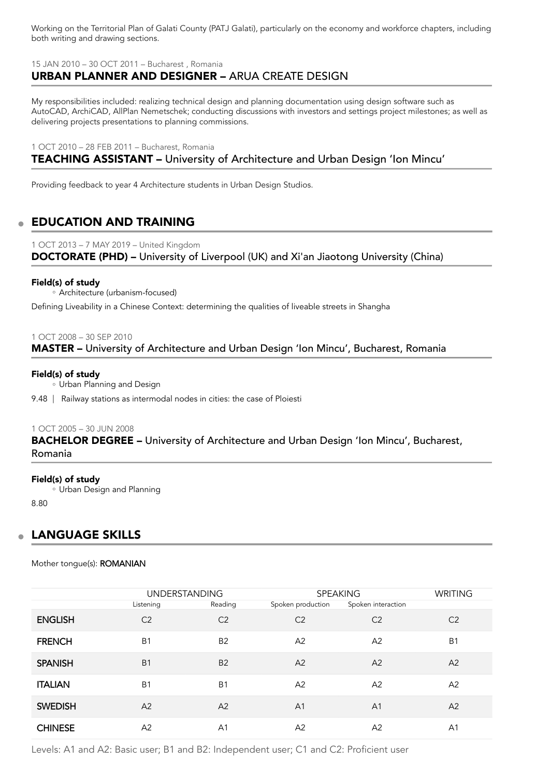Working on the Territorial Plan of Galati County (PATJ Galati), particularly on the economy and workforce chapters, including both writing and drawing sections.

15 JAN 2010 – 30 OCT 2011 – Bucharest , Romania

## URBAN PLANNER AND DESIGNER – ARUA CREATE DESIGN

My responsibilities included: realizing technical design and planning documentation using design software such as AutoCAD, ArchiCAD, AllPlan Nemetschek; conducting discussions with investors and settings project milestones; as well as delivering projects presentations to planning commissions.

1 OCT 2010 – 28 FEB 2011 – Bucharest, Romania

## TEACHING ASSISTANT – University of Architecture and Urban Design 'Ion Mincu'

Providing feedback to year 4 Architecture students in Urban Design Studios.

## EDUCATION AND TRAINING

1 OCT 2013 – 7 MAY 2019 – United Kingdom DOCTORATE (PHD) – University of Liverpool (UK) and Xi'an Jiaotong University (China)

### Field(s) of study

Architecture (urbanism-focused) ◦

Defining Liveability in a Chinese Context: determining the qualities of liveable streets in Shangha

#### 1 OCT 2008 – 30 SEP 2010

MASTER – University of Architecture and Urban Design 'Ion Mincu', Bucharest, Romania

#### Field(s) of study

Urban Planning and Design ◦

9.48 | Railway stations as intermodal nodes in cities: the case of Ploiesti

#### 1 OCT 2005 – 30 JUN 2008

BACHELOR DEGREE – University of Architecture and Urban Design 'Ion Mincu', Bucharest, Romania

#### Field(s) of study

Urban Design and Planning ◦

8.80

### LANGUAGE SKILLS

Mother tongue(s): ROMANIAN

|                | <b>UNDERSTANDING</b> |                | <b>SPEAKING</b>   |                    | <b>WRITING</b> |
|----------------|----------------------|----------------|-------------------|--------------------|----------------|
|                | Listening            | Reading        | Spoken production | Spoken interaction |                |
| <b>ENGLISH</b> | C <sub>2</sub>       | C <sub>2</sub> | C <sub>2</sub>    | C <sub>2</sub>     | C <sub>2</sub> |
| <b>FRENCH</b>  | B <sub>1</sub>       | <b>B2</b>      | A2                | A2                 | B <sub>1</sub> |
| <b>SPANISH</b> | B <sub>1</sub>       | <b>B2</b>      | A <sub>2</sub>    | A2                 | A <sub>2</sub> |
| <b>ITALIAN</b> | B <sub>1</sub>       | B <sub>1</sub> | A <sub>2</sub>    | A <sub>2</sub>     | A <sub>2</sub> |
| <b>SWEDISH</b> | A <sup>2</sup>       | A <sub>2</sub> | A <sub>1</sub>    | A <sub>1</sub>     | A2             |
| <b>CHINESE</b> | A <sub>2</sub>       | A <sub>1</sub> | A <sub>2</sub>    | A2                 | A <sub>1</sub> |

Levels: A1 and A2: Basic user; B1 and B2: Independent user; C1 and C2: Proficient user